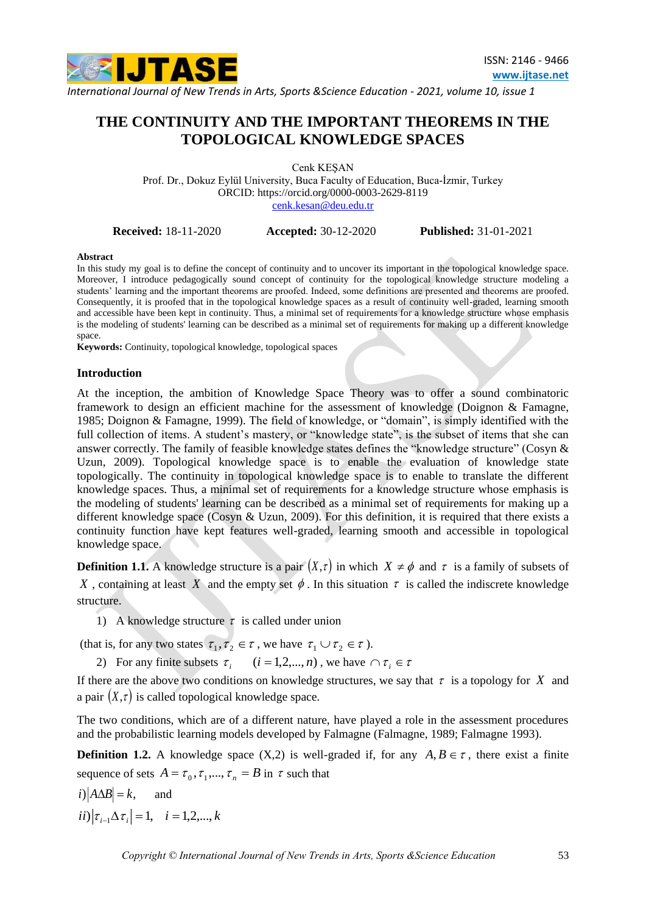

# **THE CONTINUITY AND THE IMPORTANT THEOREMS IN THE TOPOLOGICAL KNOWLEDGE SPACES**

Cenk KEŞAN Prof. Dr., Dokuz Eylül University, Buca Faculty of Education, Buca-İzmir, Turkey ORCID:<https://orcid.org/0000-0003-2629-8119> [cenk.kesan@deu.edu.tr](mailto:cenk.kesan@deu.edu.tr)

**Received:** 18-11-2020 **Accepted:** 30-12-2020 **Published:** 31-01-2021

#### **Abstract**

In this study my goal is to define the concept of continuity and to uncover its important in the topological knowledge space. Moreover, I introduce pedagogically sound concept of continuity for the topological knowledge structure modeling a students' learning and the important theorems are proofed. Indeed, some definitions are presented and theorems are proofed. Consequently, it is proofed that in the topological knowledge spaces as a result of continuity well-graded, learning smooth and accessible have been kept in continuity. Thus, a minimal set of requirements for a knowledge structure whose emphasis is the modeling of students' learning can be described as a minimal set of requirements for making up a different knowledge space.

**Keywords:** Continuity, topological knowledge, topological spaces

#### **Introduction**

At the inception, the ambition of Knowledge Space Theory was to offer a sound combinatoric framework to design an efficient machine for the assessment of knowledge (Doignon & Famagne, 1985; Doignon & Famagne, 1999). The field of knowledge, or "domain", is simply identified with the full collection of items. A student's mastery, or "knowledge state", is the subset of items that she can answer correctly. The family of feasible knowledge states defines the "knowledge structure" (Cosyn & Uzun, 2009). Topological knowledge space is to enable the evaluation of knowledge state topologically. The continuity in topological knowledge space is to enable to translate the different knowledge spaces. Thus, a minimal set of requirements for a knowledge structure whose emphasis is the modeling of students' learning can be described as a minimal set of requirements for making up a different knowledge space (Cosyn & Uzun, 2009). For this definition, it is required that there exists a continuity function have kept features well-graded, learning smooth and accessible in topological knowledge space.

**Definition 1.1.** A knowledge structure is a pair  $(X,\tau)$  in which  $X \neq \phi$  and  $\tau$  is a family of subsets of X, containing at least X and the empty set  $\phi$ . In this situation  $\tau$  is called the indiscrete knowledge structure.

1) A knowledge structure  $\tau$  is called under union

(that is, for any two states  $\tau_1, \tau_2 \in \tau$ , we have  $\tau_1 \cup \tau_2 \in \tau$ ).

2) For any finite subsets  $\tau_i$   $(i = 1, 2, ..., n)$ , we have  $\cap \tau_i \in \tau$ 

If there are the above two conditions on knowledge structures, we say that  $\tau$  is a topology for X and a pair  $(X, \tau)$  is called topological knowledge space.

The two conditions, which are of a different nature, have played a role in the assessment procedures and the probabilistic learning models developed by Falmagne (Falmagne, 1989; Falmagne 1993).

**Definition 1.2.** A knowledge space  $(X,2)$  is well-graded if, for any  $A, B \in \tau$ , there exist a finite sequence of sets  $A = \tau_0, \tau_1, ..., \tau_n = B$  in  $\tau$  such that

 $i)$   $|A \Delta B| = k$ , and  $ii) |\tau_{i-1} \Delta \tau_i| = 1, \quad i = 1, 2, ..., k$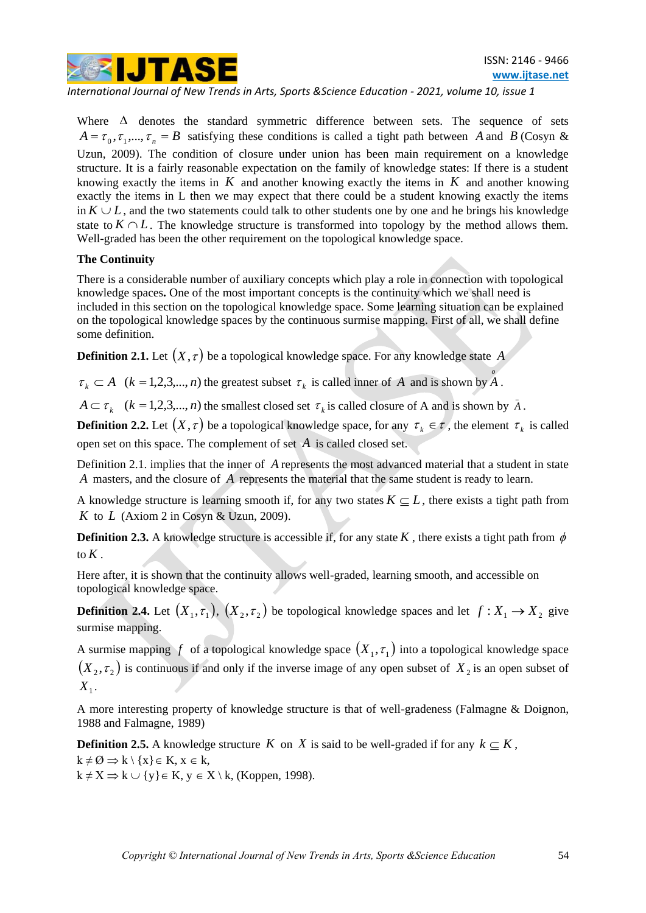

Where  $\Delta$  denotes the standard symmetric difference between sets. The sequence of sets  $A = \tau_0, \tau_1, ..., \tau_n = B$  satisfying these conditions is called a tight path between A and B (Cosyn & Uzun, 2009). The condition of closure under union has been main requirement on a knowledge structure. It is a fairly reasonable expectation on the family of knowledge states: If there is a student knowing exactly the items in  $K$  and another knowing exactly the items in  $K$  and another knowing exactly the items in L then we may expect that there could be a student knowing exactly the items in  $K \cup L$ , and the two statements could talk to other students one by one and he brings his knowledge state to  $K \cap L$ . The knowledge structure is transformed into topology by the method allows them. Well-graded has been the other requirement on the topological knowledge space.

## **The Continuity**

There is a considerable number of auxiliary concepts which play a role in connection with topological knowledge spaces**.** One of the most important concepts is the continuity which we shall need is included in this section on the topological knowledge space. Some learning situation can be explained on the topological knowledge spaces by the continuous surmise mapping. First of all, we shall define some definition.

**Definition 2.1.** Let  $(X, \tau)$  be a topological knowledge space. For any knowledge state A

 $\tau_k \subset A$  ( $k = 1, 2, 3, \dots, n$ ) the greatest subset  $\tau_k$  is called inner of A and is shown by A.

 $A \subset \tau_k$  ( $k = 1, 2, 3, \dots, n$ ) the smallest closed set  $\tau_k$  is called closure of A and is shown by  $\bar{A}$ .

**Definition 2.2.** Let  $(X, \tau)$  be a topological knowledge space, for any  $\tau_k \in \tau$ , the element  $\tau_k$  is called open set on this space. The complement of set *A* is called closed set.

Definition 2.1. implies that the inner of A represents the most advanced material that a student in state A masters, and the closure of A represents the material that the same student is ready to learn.

A knowledge structure is learning smooth if, for any two states  $K \subseteq L$ , there exists a tight path from K to  $L$  (Axiom 2 in Cosyn & Uzun, 2009).

**Definition 2.3.** A knowledge structure is accessible if, for any state K, there exists a tight path from  $\phi$ to *K* .

Here after, it is shown that the continuity allows well-graded, learning smooth, and accessible on topological knowledge space.

**Definition 2.4.** Let  $(X_1, \tau_1)$ ,  $(X_2, \tau_2)$  be topological knowledge spaces and let  $f: X_1 \to X_2$  give surmise mapping.

A surmise mapping f of a topological knowledge space  $(X_1, \tau_1)$  into a topological knowledge space  $(X_2, \tau_2)$  is continuous if and only if the inverse image of any open subset of  $X_2$  is an open subset of  $X_{1}$ .

A more interesting property of knowledge structure is that of well-gradeness (Falmagne & Doignon, 1988 and Falmagne, 1989)

**Definition 2.5.** A knowledge structure K on X is said to be well-graded if for any  $k \subseteq K$ ,  $k \neq \emptyset \Rightarrow k \setminus \{x\} \in K, x \in k,$  $k \neq X \Rightarrow k \cup \{y\} \in K$ ,  $y \in X \setminus k$ , (Koppen, 1998).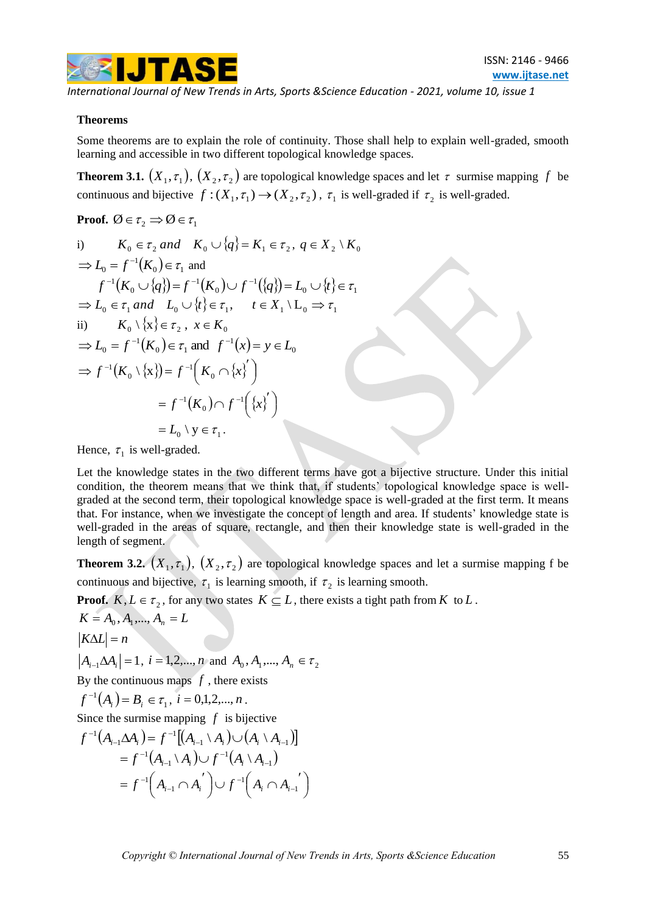

#### **Theorems**

Some theorems are to explain the role of continuity. Those shall help to explain well-graded, smooth learning and accessible in two different topological knowledge spaces.

**Theorem 3.1.**  $(X_1, \tau_1)$ ,  $(X_2, \tau_2)$  are topological knowledge spaces and let  $\tau$  surmise mapping f be continuous and bijective  $f:(X_1, \tau_1) \to (X_2, \tau_2)$ ,  $\tau_1$  is well-graded if  $\tau_2$  is well-graded.

**Proof.** 
$$
\emptyset \in \tau_2 \implies \emptyset \in \tau_1
$$

i) 
$$
K_0 \in \tau_2
$$
 and  $K_0 \cup \{q\} = K_1 \in \tau_2$ ,  $q \in X_2 \setminus K_0$   
\n $\Rightarrow L_0 = f^{-1}(K_0) \in \tau_1$  and  
\n $f^{-1}(K_0 \cup \{q\}) = f^{-1}(K_0) \cup f^{-1}(\{q\}) = L_0 \cup \{t\} \in \tau_1$   
\n $\Rightarrow L_0 \in \tau_1$  and  $L_0 \cup \{t\} \in \tau_1$ ,  $t \in X_1 \setminus L_0 \Rightarrow \tau_1$   
\nii)  $K_0 \setminus \{x\} \in \tau_2$ ,  $x \in K_0$   
\n $\Rightarrow L_0 = f^{-1}(K_0) \in \tau_1$  and  $f^{-1}(x) = y \in L_0$   
\n $\Rightarrow f^{-1}(K_0 \setminus \{x\}) = f^{-1}(K_0 \cap \{x\}')$   
\n $= f^{-1}(K_0) \cap f^{-1}(\{x\}')$   
\n $= L_0 \setminus y \in \tau_1$ .

Hence,  $\tau_1$  is well-graded.

Let the knowledge states in the two different terms have got a bijective structure. Under this initial condition, the theorem means that we think that, if students' topological knowledge space is wellgraded at the second term, their topological knowledge space is well-graded at the first term. It means that. For instance, when we investigate the concept of length and area. If students' knowledge state is well-graded in the areas of square, rectangle, and then their knowledge state is well-graded in the length of segment.

**Theorem 3.2.**  $(X_1, \tau_1)$ ,  $(X_2, \tau_2)$  are topological knowledge spaces and let a surmise mapping f be continuous and bijective,  $\tau_1$  is learning smooth, if  $\tau_2$  is learning smooth.

**Proof.**  $K, L \in \tau_2$ , for any two states  $K \subseteq L$ , there exists a tight path from K to L.

$$
K = A_0, A_1, ..., A_n = L
$$
  
\n
$$
|K\Delta L| = n
$$
  
\n
$$
|A_{i-1}\Delta A_i| = 1, i = 1, 2, ..., n \text{ and } A_0, A_1, ..., A_n \in \tau_2
$$
  
\nBy the continuous maps  $f$ , there exists  
\n $f^{-1}(A_i) = B_i \in \tau_1, i = 0, 1, 2, ..., n$ .  
\nSince the surmise mapping  $f$  is bijective  
\n $f^{-1}(A_{i-1}\Delta A_i) = f^{-1}[(A_{i-1} \setminus A_i) \cup (A_i \setminus A_{i-1})]$   
\n $= f^{-1}(A_{i-1} \setminus A_i) \cup f^{-1}(A_i \setminus A_{i-1})$   
\n $= f^{-1}(A_{i-1} \cap A_i') \cup f^{-1}(A_i \cap A_{i-1})$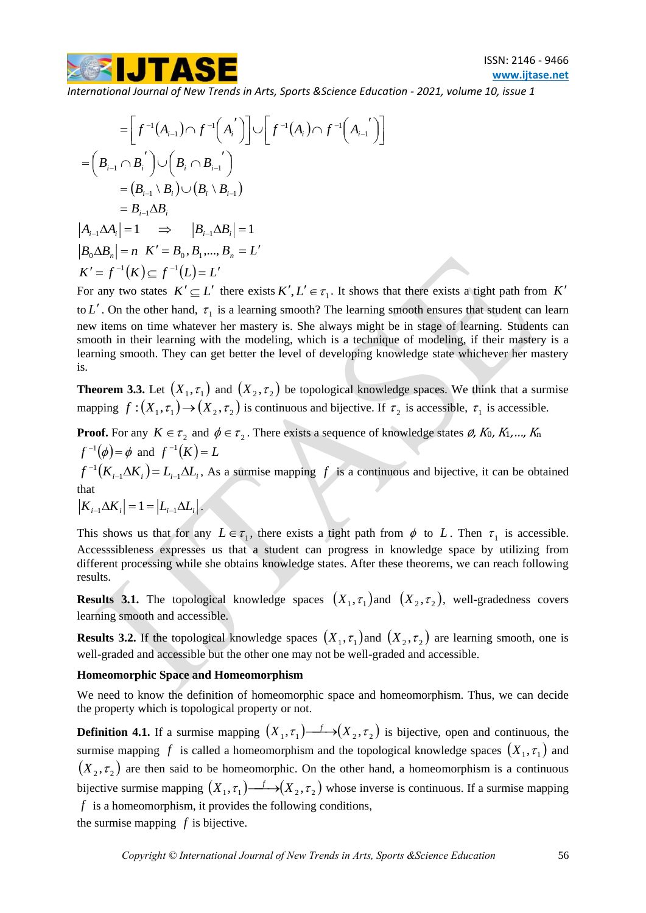

$$
= \left[ f^{-1}(A_{i-1}) \cap f^{-1}(A_i') \right] \cup \left[ f^{-1}(A_i) \cap f^{-1}(A_{i-1}') \right]
$$
  
\n
$$
= \left( B_{i-1} \cap B_i' \right) \cup \left( B_i \cap B_{i-1} \right)
$$
  
\n
$$
= \left( B_{i-1} \setminus B_i \right) \cup \left( B_i \setminus B_{i-1} \right)
$$
  
\n
$$
= B_{i-1} \Delta B_i
$$
  
\n
$$
|A_{i-1} \Delta A_i| = 1 \implies |B_{i-1} \Delta B_i| = 1
$$
  
\n
$$
|B_0 \Delta B_n| = n \quad K' = B_0, B_1, ..., B_n = L'
$$
  
\n
$$
K' = f^{-1}(K) \subseteq f^{-1}(L) = L'
$$

For any two states  $K' \subseteq L'$  there exists  $K', L' \in \tau_1$ . It shows that there exists a tight path from K' to L'. On the other hand,  $\tau_1$  is a learning smooth? The learning smooth ensures that student can learn new items on time whatever her mastery is. She always might be in stage of learning. Students can smooth in their learning with the modeling, which is a technique of modeling, if their mastery is a learning smooth. They can get better the level of developing knowledge state whichever her mastery is.

**Theorem 3.3.** Let  $(X_1, \tau_1)$  and  $(X_2, \tau_2)$  be topological knowledge spaces. We think that a surmise mapping  $f:(X_1,\tau_1) \to (X_2,\tau_2)$  is continuous and bijective. If  $\tau_2$  is accessible,  $\tau_1$  is accessible.

**Proof.** For any  $K \in \tau_2$  and  $\phi \in \tau_2$ . There exists a sequence of knowledge states  $\emptyset$ , K<sub>0</sub>, K<sub>1</sub>,..., K<sub>n</sub>  $f^{-1}(\phi) = \phi$  and  $f^{-1}(K) = L$  $f^{-1}(K_{i-1}\Delta K_i) = L_{i-1}\Delta L_i$  $I(K_{i-1}\Delta K_i)=L_{i-1}\Delta L_i$ , As a surmise mapping f is a continuous and bijective, it can be obtained that  $K_{i-1} \Delta K_i = 1 = |L_{i-1} \Delta L_i|$ .

This shows us that for any  $L \in \tau_1$ , there exists a tight path from  $\phi$  to L. Then  $\tau_1$  is accessible. Accesssibleness expresses us that a student can progress in knowledge space by utilizing from different processing while she obtains knowledge states. After these theorems, we can reach following results.

**Results 3.1.** The topological knowledge spaces  $(X_1, \tau_1)$  and  $(X_2, \tau_2)$ , well-gradedness covers learning smooth and accessible.

**Results 3.2.** If the topological knowledge spaces  $(X_1, \tau_1)$  and  $(X_2, \tau_2)$  are learning smooth, one is well-graded and accessible but the other one may not be well-graded and accessible.

## **Homeomorphic Space and Homeomorphism**

We need to know the definition of homeomorphic space and homeomorphism. Thus, we can decide the property which is topological property or not.

 $\begin{bmatrix} f^{-1}(A_{n-1}) \cap f^{-1}(A_{n-1}) \cup [f^{-1}(A_{n}) \cap f^{-1}(A_{n-1})] \end{bmatrix}$ <br>  $\begin{bmatrix} C_1P_{n-1}R_1 \\ C_2P_{n-1}R_2 \\ C_3P_{n-1}R_3 \\ -1 \end{bmatrix}$ ,  $\begin{bmatrix} G_1 \cap B_{n-1} \\ F_2 \end{bmatrix}$ ,  $\begin{bmatrix} G_1 \cap B_{n-1} \\ F_3 \end{bmatrix}$ ,  $\begin{bmatrix} G_1 \cap B_{n-1} \\ F_2 \end{bmatrix}$ ,  $\begin{bmatrix}$ **Definition 4.1.** If a surmise mapping  $(X_1, \tau_1) \rightarrow (X_2, \tau_2)$  is bijective, open and continuous, the surmise mapping f is called a homeomorphism and the topological knowledge spaces  $(X_1, \tau_1)$  and  $(X_2, \tau_2)$  are then said to be homeomorphic. On the other hand, a homeomorphism is a continuous bijective surmise mapping  $(X_1, \tau_1) \rightarrow (X_2, \tau_2)$  whose inverse is continuous. If a surmise mapping *f* is a homeomorphism, it provides the following conditions, the surmise mapping  $f$  is bijective.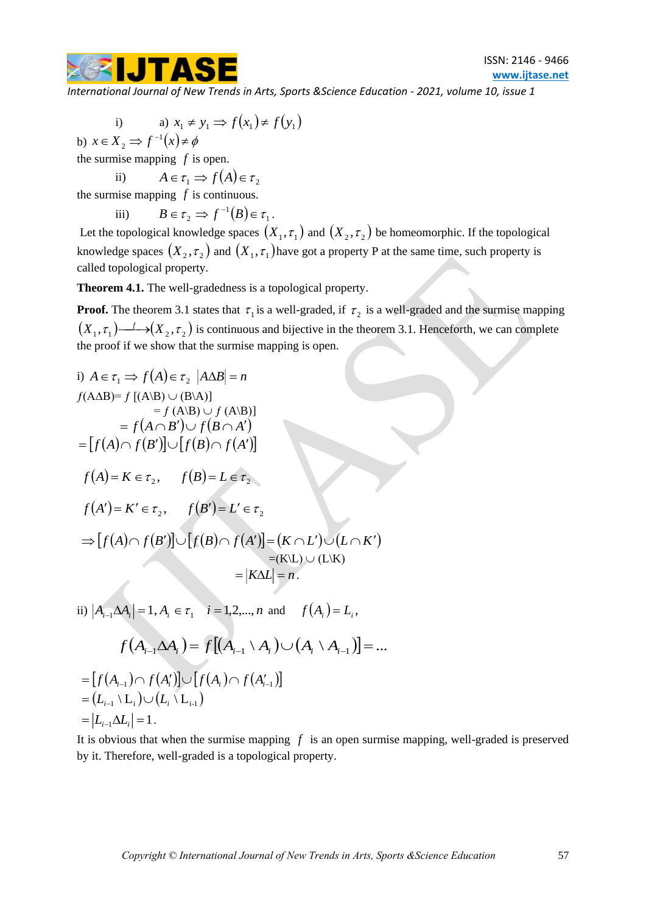

i) a) 
$$
x_1 \neq y_1 \Rightarrow f(x_1) \neq f(y_1)
$$

b)  $x \in X_2 \implies f^{-1}(x) \neq \phi$ 2

the surmise mapping  $f$  is open. ii)

$$
A \in \tau_1 \implies f(A) \in \tau_2
$$

the surmise mapping  $f$  is continuous.

iii) 
$$
B \in \tau_2 \Rightarrow f^{-1}(B) \in \tau_1.
$$

Let the topological knowledge spaces  $(X_1, \tau_1)$  and  $(X_2, \tau_2)$  be homeomorphic. If the topological knowledge spaces  $(X_2, \tau_2)$  and  $(X_1, \tau_1)$  have got a property P at the same time, such property is called topological property.

**Theorem 4.1.** The well-gradedness is a topological property.

**Proof.** The theorem 3.1 states that  $\tau_1$  is a well-graded, if  $\tau_2$  is a well-graded and the surmise mapping  $(X_1, \tau_1) \rightarrow (X_2, \tau_2)$  is continuous and bijective in the theorem 3.1. Henceforth, we can complete the proof if we show that the surmise mapping is open.

i) 
$$
A \in \tau_1 \Rightarrow f(A) \in \tau_2 |A\Delta B| = n
$$
  
\n $f(A\Delta B)=f [(A|B) \cup (B|A)]$   
\n $= f(A \cap B') \cup f(B \cap A')$   
\n $= [f(A) \cap f(B')] \cup [f(B) \cap f(A')]$   
\n $f(A) = K \in \tau_2, f(B) = L \in \tau_2$   
\n $f(A') = K' \in \tau_2, f(B') = L' \in \tau_2$   
\n $\Rightarrow [f(A) \cap f(B')] \cup [f(B) \cap f(A')] = (K \cap L') \cup (L \cap K')$   
\n $= (K \setminus L) \cup (L \setminus K)$   
\n $= |K \Delta L| = n$ .  
\nii)  $|A_{i-1} \Delta A_i| = 1, A_i \in \tau_1 \quad i = 1, 2, ..., n \text{ and } f(A_i) = L_i,$   
\n $f(A_{i-1} \Delta A_i) = f[(A_{i-1} \setminus A_i) \cup (A_i \setminus A_{i-1})] = ...$   
\n $= [f(A_{i-1}) \cap f(A'_i)] \cup [f(A_i) \cap f(A'_{i-1})]$   
\n $= (L_{i-1} \setminus L_i) \cup (L_i \setminus L_{i-1})$ 

 $= |L_{i-1} \Delta L_i| = 1$ .

It is obvious that when the surmise mapping  $f$  is an open surmise mapping, well-graded is preserved by it. Therefore, well-graded is a topological property.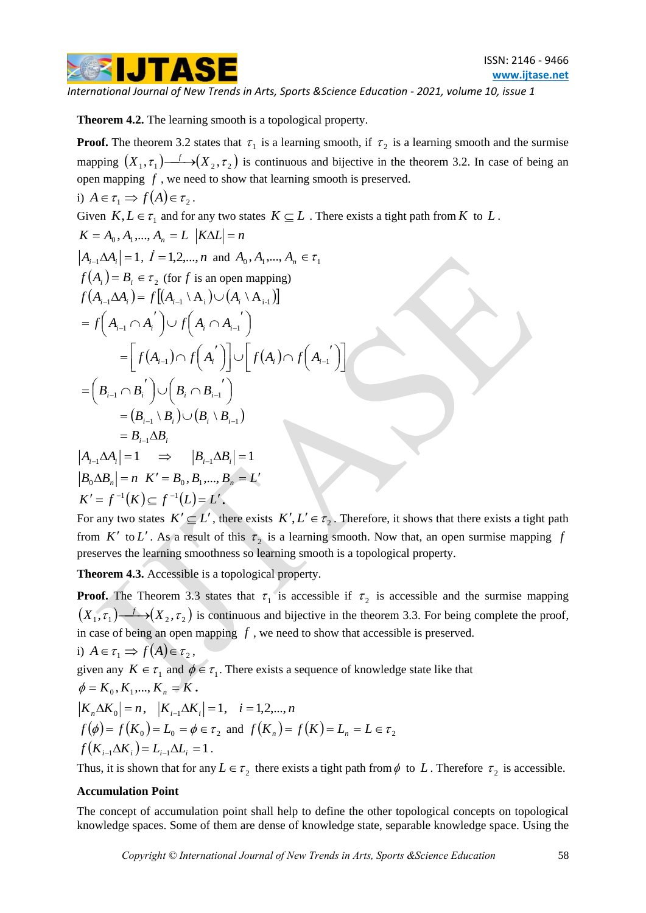

**Theorem 4.2.** The learning smooth is a topological property.

**Proof.** The theorem 3.2 states that  $\tau_1$  is a learning smooth, if  $\tau_2$  is a learning smooth and the surmise mapping  $(X_1, \tau_1) \longrightarrow (X_2, \tau_2)$  is continuous and bijective in the theorem 3.2. In case of being an open mapping *f* , we need to show that learning smooth is preserved.

i) 
$$
A \in \tau_1 \Rightarrow f(A) \in \tau_2
$$
.

Given 
$$
K, L \in \tau_1
$$
 and for any two states  $K \subseteq L$ . There exists a tight path from  $K$  to  $L$ .  
\n $K = A_0, A_1, ..., A_n = L |K\Delta L| = n$   
\n $|A_{i-1}\Delta A_i| = 1, I = 1, 2, ..., n$  and  $A_0, A_1, ..., A_n \in \tau_1$   
\n $f(A_i) = B_i \in \tau_2$  (for  $f$  is an open mapping)  
\n $f(A_{i-1}\Delta A_i) = f[(A_{i-1} \setminus A_i) \cup (A_i \setminus A_{i-1})]$   
\n $= f(A_{i-1} \cap A_i') \cup f(A_i \cap A_{i-1}')$   
\n $= \left[ f(A_{i-1}) \cap f(A_i') \right] \cup \left[ f(A_i) \cap f(A_{i-1}') \right]$   
\n $= (B_{i-1} \cap B_i') \cup (B_i \cap B_{i-1}')$   
\n $= (B_{i-1} \setminus B_i) \cup (B_i \setminus B_{i-1})$   
\n $= B_{i-1} \Delta B_i$   
\n $|A_{i-1}\Delta A_i| = 1 \implies |B_{i-1}\Delta B_i| = 1$   
\n $|B_0 \Delta B_n| = n \quad K' = B_0, B_1, ..., B_n = L'$   
\n $K' = f^{-1}(K) \subseteq f^{-1}(L) = L'$ .

For any two states  $K' \subseteq L'$ , there exists  $K', L' \in \tau_2$ . Therefore, it shows that there exists a tight path from K' to L'. As a result of this  $\tau_2$  is a learning smooth. Now that, an open surmise mapping f preserves the learning smoothness so learning smooth is a topological property.

**Theorem 4.3.** Accessible is a topological property.

**Proof.** The Theorem 3.3 states that  $\tau_1$  is accessible if  $\tau_2$  is accessible and the surmise mapping  $(X_1, \tau_1) \longrightarrow (X_2, \tau_2)$  is continuous and bijective in the theorem 3.3. For being complete the proof, in case of being an open mapping *f* , we need to show that accessible is preserved.

i)  $A \in \tau_1 \implies f(A) \in \tau_2$ , given any  $K \in \tau_1$  and  $\phi \in \tau_1$ . There exists a sequence of knowledge state like that  $\phi = K_0, K_1, ..., K_n = K$ .  $K_n \Delta K_0 = n, \quad |K_{i-1} \Delta K_i| = 1, \quad i = 1, 2, ..., n$  $f(\phi) = f(K_0) = L_0 = \phi \in \tau_2$  and  $f(K_n) = f(K) = L_n = L \in \tau_2$  $f(K_{i-1}\Delta K_i) = L_{i-1}\Delta L_i = 1$ .

Thus, it is shown that for any  $L \in \tau_2$  there exists a tight path from  $\phi$  to L. Therefore  $\tau_2$  is accessible.

# **Accumulation Point**

The concept of accumulation point shall help to define the other topological concepts on topological knowledge spaces. Some of them are dense of knowledge state, separable knowledge space. Using the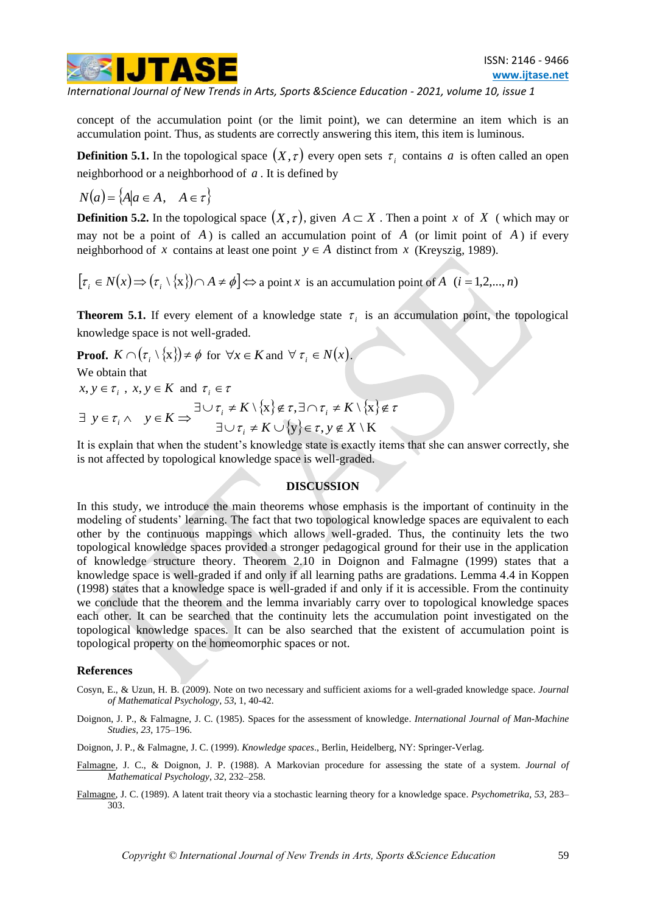

concept of the accumulation point (or the limit point), we can determine an item which is an accumulation point. Thus, as students are correctly answering this item, this item is luminous.

**Definition 5.1.** In the topological space  $(X, \tau)$  every open sets  $\tau_i$  contains a is often called an open neighborhood or a neighborhood of *a* . It is defined by

 $N(a) = \{A | a \in A, \quad A \in \tau\}$ 

**Definition 5.2.** In the topological space  $(X, \tau)$ , given  $A \subset X$ . Then a point x of X (which may or may not be a point of  $A$ ) is called an accumulation point of  $A$  (or limit point of  $A$ ) if every neighborhood of x contains at least one point  $y \in A$  distinct from x (Kreyszig, 1989).

 $\left[\tau_i \in N(x) \Rightarrow (\tau_i \setminus \{x\}) \cap A \neq \emptyset\right] \Leftrightarrow$  a point x is an accumulation point of A  $(i = 1, 2, ..., n)$ 

**Theorem 5.1.** If every element of a knowledge state  $\tau_i$  is an accumulation point, the topological knowledge space is not well-graded.

**Proof.**  $K \cap (\tau_i \setminus \{x\}) \neq \emptyset$  for  $\forall x \in K$  and  $\forall \tau_i \in N(x)$ .

We obtain that

 $x, y \in \tau$ <sub>*i*</sub>,  $x, y \in K$  and  $\tau$ <sub>*i*</sub>  $\in \tau$ 

$$
\exists y \in \tau_i \land y \in K \Rightarrow \exists \cup \tau_i \neq K \setminus \{x\} \notin \tau, \exists \cap \tau_i \neq K \setminus \{x\} \notin \tau
$$
  

$$
\exists \cup \tau_i \neq K \cup \{y\} \in \tau, y \notin X \setminus K
$$

It is explain that when the student's knowledge state is exactly items that she can answer correctly, she is not affected by topological knowledge space is well-graded.

# **DISCUSSION**

In this study, we introduce the main theorems whose emphasis is the important of continuity in the modeling of students' learning. The fact that two topological knowledge spaces are equivalent to each other by the continuous mappings which allows well-graded. Thus, the continuity lets the two topological knowledge spaces provided a stronger pedagogical ground for their use in the application of knowledge structure theory. Theorem 2.10 in Doignon and Falmagne (1999) states that a knowledge space is well-graded if and only if all learning paths are gradations. Lemma 4.4 in Koppen (1998) states that a knowledge space is well-graded if and only if it is accessible. From the continuity we conclude that the theorem and the lemma invariably carry over to topological knowledge spaces each other. It can be searched that the continuity lets the accumulation point investigated on the topological knowledge spaces. It can be also searched that the existent of accumulation point is topological property on the homeomorphic spaces or not.

#### **References**

- Cosyn, E., & Uzun, H. B. (2009). Note on two necessary and sufficient axioms for a well-graded knowledge space. *[Journal](http://www.sciencedirect.com/science/journal/00222496)  [of Mathematical Psychology](http://www.sciencedirect.com/science/journal/00222496)*, *53*[, 1,](http://www.sciencedirect.com/science?_ob=PublicationURL&_tockey=%23TOC%236895%232009%23999469998%23941070%23FLA%23&_cdi=6895&_pubType=J&view=c&_auth=y&_acct=C000038578&_version=1&_urlVersion=0&_userid=691192&md5=f6a2ae432796d9e4660487977b083490) 40-42.
- Doignon, J. P., & Falmagne, J. C. (1985). Spaces for the assessment of knowledge. *International Journal of Man-Machine Studies, 23*, 175–196.
- Doignon, J. P., & Falmagne, J. C. (1999). *Knowledge spaces*., Berlin, Heidelberg, NY: Springer-Verlag.
- [Falmagne,](http://www.sciencedirect.com/science?_ob=ArticleURL&_udi=B6V88-3TP0N4X-4&_user=691192&_coverDate=09%2F01%2F1998&_rdoc=1&_fmt=high&_orig=search&_sort=d&_docanchor=&view=c&_searchStrId=1416602391&_rerunOrigin=google&_acct=C000038578&_version=1&_urlVersion=0&_userid=691192&md5=652565061f84534a7fdeb674d81c151d#bb3#bb3) J. C., & Doignon, J. P. (1988). A Markovian procedure for assessing the state of a system. *Journal of Mathematical Psychology*, *32*, 232–258.
- [Falmagne,](http://www.sciencedirect.com/science?_ob=ArticleURL&_udi=B6V88-3TP0N4X-4&_user=691192&_coverDate=09%2F01%2F1998&_rdoc=1&_fmt=high&_orig=search&_sort=d&_docanchor=&view=c&_searchStrId=1416602924&_rerunOrigin=google&_acct=C000038578&_version=1&_urlVersion=0&_userid=691192&md5=16017409005c686fe7732b467e272a4a#bb7#bb7) J. C. (1989). A latent trait theory via a stochastic learning theory for a knowledge space. *Psychometrika, 53*, 283– 303.